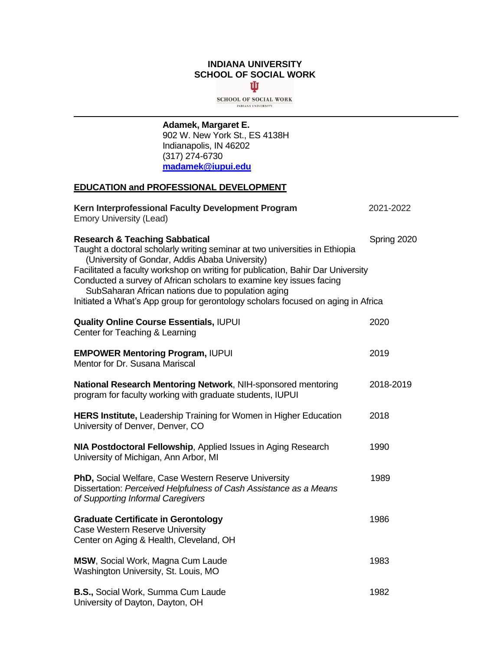#### **INDIANA UNIVERSITY SCHOOL OF SOCIAL WORK** Ů

**SCHOOL OF SOCIAL WORK** INDIANA UNIVERSITY

**Adamek, Margaret E.** 902 W. New York St., ES 4138H Indianapolis, IN 46202

(317) 274-6730 **[madamek@iupui.edu](mailto:madamek@iupui.edu)**

## **EDUCATION and PROFESSIONAL DEVELOPMENT**

| Kern Interprofessional Faculty Development Program<br><b>Emory University (Lead)</b>                                                                                                                                                                                                                                                                                                                                                                                           | 2021-2022   |
|--------------------------------------------------------------------------------------------------------------------------------------------------------------------------------------------------------------------------------------------------------------------------------------------------------------------------------------------------------------------------------------------------------------------------------------------------------------------------------|-------------|
| <b>Research &amp; Teaching Sabbatical</b><br>Taught a doctoral scholarly writing seminar at two universities in Ethiopia<br>(University of Gondar, Addis Ababa University)<br>Facilitated a faculty workshop on writing for publication, Bahir Dar University<br>Conducted a survey of African scholars to examine key issues facing<br>SubSaharan African nations due to population aging<br>Initiated a What's App group for gerontology scholars focused on aging in Africa | Spring 2020 |
| <b>Quality Online Course Essentials, IUPUI</b><br>Center for Teaching & Learning                                                                                                                                                                                                                                                                                                                                                                                               | 2020        |
| <b>EMPOWER Mentoring Program, IUPUI</b><br>Mentor for Dr. Susana Mariscal                                                                                                                                                                                                                                                                                                                                                                                                      | 2019        |
| National Research Mentoring Network, NIH-sponsored mentoring<br>program for faculty working with graduate students, IUPUI                                                                                                                                                                                                                                                                                                                                                      | 2018-2019   |
| HERS Institute, Leadership Training for Women in Higher Education<br>University of Denver, Denver, CO                                                                                                                                                                                                                                                                                                                                                                          | 2018        |
| NIA Postdoctoral Fellowship, Applied Issues in Aging Research<br>University of Michigan, Ann Arbor, MI                                                                                                                                                                                                                                                                                                                                                                         | 1990        |
| PhD, Social Welfare, Case Western Reserve University<br>Dissertation: Perceived Helpfulness of Cash Assistance as a Means<br>of Supporting Informal Caregivers                                                                                                                                                                                                                                                                                                                 | 1989        |
| <b>Graduate Certificate in Gerontology</b><br>Case Western Reserve University<br>Center on Aging & Health, Cleveland, OH                                                                                                                                                                                                                                                                                                                                                       | 1986        |
| MSW, Social Work, Magna Cum Laude<br>Washington University, St. Louis, MO                                                                                                                                                                                                                                                                                                                                                                                                      | 1983        |
| B.S., Social Work, Summa Cum Laude<br>University of Dayton, Dayton, OH                                                                                                                                                                                                                                                                                                                                                                                                         | 1982        |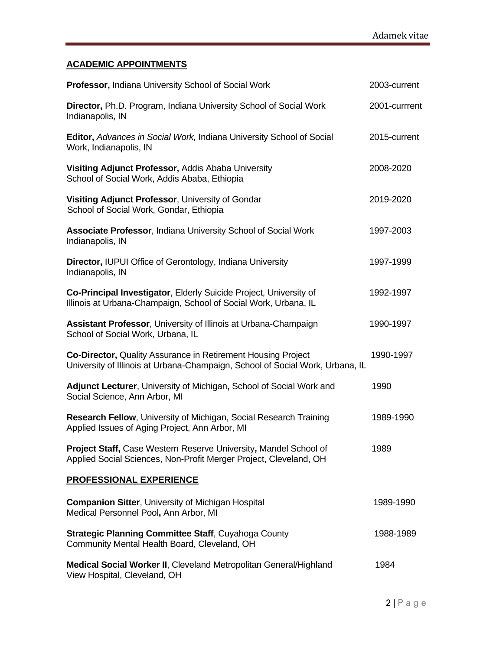# **ACADEMIC APPOINTMENTS**

| Professor, Indiana University School of Social Work                                                                                   | 2003-current                                                                  |
|---------------------------------------------------------------------------------------------------------------------------------------|-------------------------------------------------------------------------------|
| Director, Ph.D. Program, Indiana University School of Social Work<br>Indianapolis, IN                                                 | 2001-currrent                                                                 |
| Editor, Advances in Social Work, Indiana University School of Social<br>Work, Indianapolis, IN                                        | 2015-current                                                                  |
| Visiting Adjunct Professor, Addis Ababa University<br>School of Social Work, Addis Ababa, Ethiopia                                    | 2008-2020                                                                     |
| Visiting Adjunct Professor, University of Gondar<br>School of Social Work, Gondar, Ethiopia                                           | 2019-2020                                                                     |
| <b>Associate Professor, Indiana University School of Social Work</b><br>Indianapolis, IN                                              | 1997-2003                                                                     |
| Director, IUPUI Office of Gerontology, Indiana University<br>Indianapolis, IN                                                         | 1997-1999                                                                     |
| Co-Principal Investigator, Elderly Suicide Project, University of<br>Illinois at Urbana-Champaign, School of Social Work, Urbana, IL  | 1992-1997                                                                     |
| Assistant Professor, University of Illinois at Urbana-Champaign<br>School of Social Work, Urbana, IL                                  | 1990-1997                                                                     |
| <b>Co-Director, Quality Assurance in Retirement Housing Project</b>                                                                   | 1990-1997                                                                     |
| Adjunct Lecturer, University of Michigan, School of Social Work and<br>Social Science, Ann Arbor, MI                                  | 1990                                                                          |
| Research Fellow, University of Michigan, Social Research Training<br>Applied Issues of Aging Project, Ann Arbor, MI                   | 1989-1990                                                                     |
| Project Staff, Case Western Reserve University, Mandel School of<br>Applied Social Sciences, Non-Profit Merger Project, Cleveland, OH | 1989                                                                          |
| <b>PROFESSIONAL EXPERIENCE</b>                                                                                                        |                                                                               |
| <b>Companion Sitter, University of Michigan Hospital</b><br>Medical Personnel Pool, Ann Arbor, MI                                     | 1989-1990                                                                     |
| <b>Strategic Planning Committee Staff, Cuyahoga County</b><br>Community Mental Health Board, Cleveland, OH                            | 1988-1989                                                                     |
| Medical Social Worker II, Cleveland Metropolitan General/Highland<br>View Hospital, Cleveland, OH                                     | 1984                                                                          |
|                                                                                                                                       | University of Illinois at Urbana-Champaign, School of Social Work, Urbana, IL |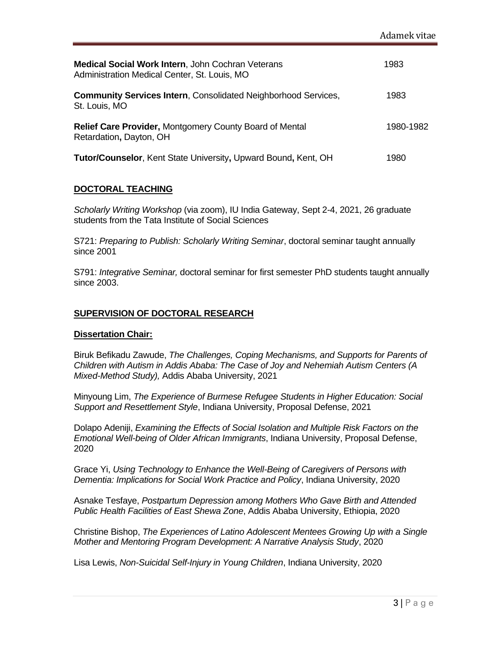| Medical Social Work Intern, John Cochran Veterans<br>Administration Medical Center, St. Louis, MO | 1983      |
|---------------------------------------------------------------------------------------------------|-----------|
| <b>Community Services Intern, Consolidated Neighborhood Services,</b><br>St. Louis, MO            | 1983      |
| <b>Relief Care Provider, Montgomery County Board of Mental</b><br>Retardation, Dayton, OH         | 1980-1982 |
| <b>Tutor/Counselor, Kent State University, Upward Bound, Kent, OH</b>                             | 1980      |

### **DOCTORAL TEACHING**

*Scholarly Writing Workshop* (via zoom), IU India Gateway, Sept 2-4, 2021, 26 graduate students from the Tata Institute of Social Sciences

S721: *Preparing to Publish: Scholarly Writing Seminar*, doctoral seminar taught annually since 2001

S791: *Integrative Seminar,* doctoral seminar for first semester PhD students taught annually since 2003.

### **SUPERVISION OF DOCTORAL RESEARCH**

#### **Dissertation Chair:**

Biruk Befikadu Zawude, *The Challenges, Coping Mechanisms, and Supports for Parents of Children with Autism in Addis Ababa: The Case of Joy and Nehemiah Autism Centers (A Mixed-Method Study),* Addis Ababa University, 2021

Minyoung Lim, *The Experience of Burmese Refugee Students in Higher Education: Social Support and Resettlement Style*, Indiana University, Proposal Defense, 2021

Dolapo Adeniji, *Examining the Effects of Social Isolation and Multiple Risk Factors on the Emotional Well-being of Older African Immigrants*, Indiana University, Proposal Defense, 2020

Grace Yi, *Using Technology to Enhance the Well-Being of Caregivers of Persons with Dementia: Implications for Social Work Practice and Policy*, Indiana University, 2020

Asnake Tesfaye, *Postpartum Depression among Mothers Who Gave Birth and Attended Public Health Facilities of East Shewa Zone*, Addis Ababa University, Ethiopia, 2020

Christine Bishop, *The Experiences of Latino Adolescent Mentees Growing Up with a Single Mother and Mentoring Program Development: A Narrative Analysis Study*, 2020

Lisa Lewis, *Non-Suicidal Self-Injury in Young Children*, Indiana University, 2020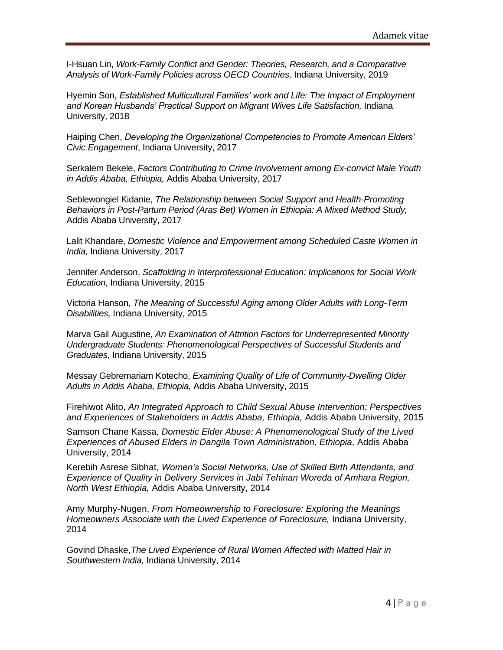I-Hsuan Lin, *Work-Family Conflict and Gender: Theories, Research, and a Comparative Analysis of Work-Family Policies across OECD Countries,* Indiana University, 2019

Hyemin Son, *Established Multicultural Families' work and Life: The Impact of Employment and Korean Husbands' Practical Support on Migrant Wives Life Satisfaction,* Indiana University, 2018

Haiping Chen, *Developing the Organizational Competencies to Promote American Elders' Civic Engagement*, Indiana University, 2017

Serkalem Bekele, *Factors Contributing to Crime Involvement among Ex-convict Male Youth in Addis Ababa, Ethiopia,* Addis Ababa University, 2017

Seblewongiel Kidanie, *The Relationship between Social Support and Health-Promoting Behaviors in Post-Partum Period (Aras Bet) Women in Ethiopia: A Mixed Method Study,*  Addis Ababa University, 2017

Lalit Khandare, *Domestic Violence and Empowerment among Scheduled Caste Women in India,* Indiana University, 2017

Jennifer Anderson, *Scaffolding in Interprofessional Education: Implications for Social Work Education,* Indiana University, 2015

Victoria Hanson, *The Meaning of Successful Aging among Older Adults with Long-Term Disabilities,* Indiana University, 2015

Marva Gail Augustine, *An Examination of Attrition Factors for Underrepresented Minority Undergraduate Students: Phenomenological Perspectives of Successful Students and Graduates,* Indiana University, 2015

Messay Gebremariam Kotecho, *Examining Quality of Life of Community-Dwelling Older Adults in Addis Ababa, Ethiopia,* Addis Ababa University, 2015

Firehiwot Alito, *An Integrated Approach to Child Sexual Abuse Intervention: Perspectives and Experiences of Stakeholders in Addis Ababa, Ethiopia,* Addis Ababa University, 2015

Samson Chane Kassa, *Domestic Elder Abuse: A Phenomenological Study of the Lived Experiences of Abused Elders in Dangila Town Administration, Ethiopia,* Addis Ababa University, 2014

Kerebih Asrese Sibhat, *Women's Social Networks, Use of Skilled Birth Attendants, and Experience of Quality in Delivery Services in Jabi Tehinan Woreda of Amhara Region, North West Ethiopia,* Addis Ababa University, 2014

Amy Murphy-Nugen, *From Homeownership to Foreclosure: Exploring the Meanings Homeowners Associate with the Lived Experience of Foreclosure,* Indiana University, 2014

Govind Dhaske,*The Lived Experience of Rural Women Affected with Matted Hair in Southwestern India,* Indiana University, 2014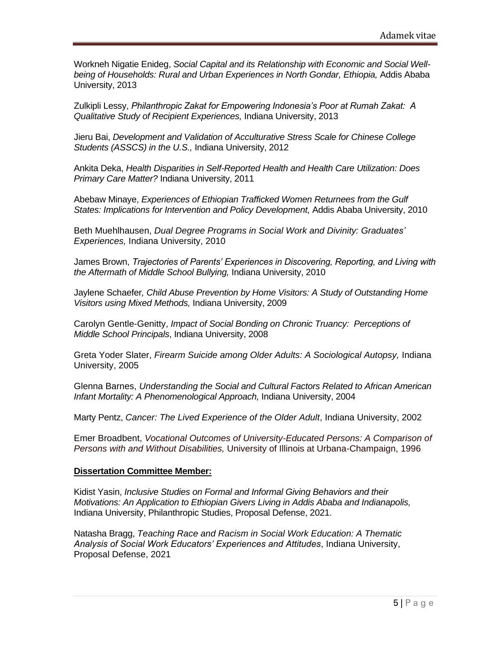Workneh Nigatie Enideg, *Social Capital and its Relationship with Economic and Social Well*being of Households: Rural and Urban Experiences in North Gondar, Ethiopia, Addis Ababa University, 2013

Zulkipli Lessy, *Philanthropic Zakat for Empowering Indonesia's Poor at Rumah Zakat: A Qualitative Study of Recipient Experiences,* Indiana University, 2013

Jieru Bai, *Development and Validation of Acculturative Stress Scale for Chinese College Students (ASSCS) in the U.S.,* Indiana University, 2012

Ankita Deka, *Health Disparities in Self-Reported Health and Health Care Utilization: Does Primary Care Matter?* Indiana University, 2011

Abebaw Minaye, *Experiences of Ethiopian Trafficked Women Returnees from the Gulf States: Implications for Intervention and Policy Development,* Addis Ababa University, 2010

Beth Muehlhausen, *Dual Degree Programs in Social Work and Divinity: Graduates' Experiences,* Indiana University, 2010

James Brown, *Trajectories of Parents' Experiences in Discovering, Reporting, and Living with the Aftermath of Middle School Bullying,* Indiana University, 2010

Jaylene Schaefer*, Child Abuse Prevention by Home Visitors: A Study of Outstanding Home Visitors using Mixed Methods,* Indiana University, 2009

Carolyn Gentle-Genitty, *Impact of Social Bonding on Chronic Truancy: Perceptions of Middle School Principals*, Indiana University, 2008

Greta Yoder Slater, *Firearm Suicide among Older Adults: A Sociological Autopsy,* Indiana University, 2005

Glenna Barnes, *Understanding the Social and Cultural Factors Related to African American Infant Mortality: A Phenomenological Approach,* Indiana University, 2004

Marty Pentz, *Cancer: The Lived Experience of the Older Adult*, Indiana University, 2002

Emer Broadbent, *Vocational Outcomes of University-Educated Persons: A Comparison of Persons with and Without Disabilities,* University of Illinois at Urbana-Champaign, 1996

#### **Dissertation Committee Member:**

Kidist Yasin, *Inclusive Studies on Formal and Informal Giving Behaviors and their Motivations: An Application to Ethiopian Givers Living in Addis Ababa and Indianapolis,*  Indiana University, Philanthropic Studies, Proposal Defense, 2021.

Natasha Bragg, *Teaching Race and Racism in Social Work Education: A Thematic Analysis of Social Work Educators' Experiences and Attitudes*, Indiana University, Proposal Defense, 2021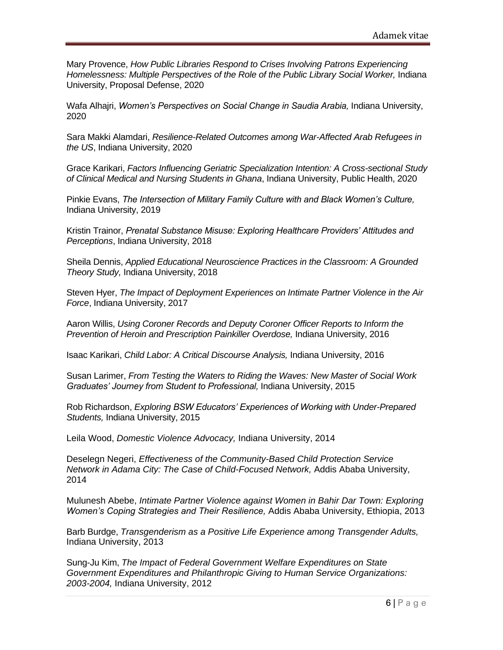Mary Provence, *How Public Libraries Respond to Crises Involving Patrons Experiencing*  Homelessness: Multiple Perspectives of the Role of the Public Library Social Worker, Indiana University, Proposal Defense, 2020

Wafa Alhajri, *Women's Perspectives on Social Change in Saudia Arabia,* Indiana University, 2020

Sara Makki Alamdari, *Resilience-Related Outcomes among War-Affected Arab Refugees in the US*, Indiana University, 2020

Grace Karikari, *Factors Influencing Geriatric Specialization Intention: A Cross-sectional Study of Clinical Medical and Nursing Students in Ghana*, Indiana University, Public Health, 2020

Pinkie Evans, *The Intersection of Military Family Culture with and Black Women's Culture,*  Indiana University, 2019

Kristin Trainor, *Prenatal Substance Misuse: Exploring Healthcare Providers' Attitudes and Perceptions*, Indiana University, 2018

Sheila Dennis, *Applied Educational Neuroscience Practices in the Classroom: A Grounded Theory Study,* Indiana University, 2018

Steven Hyer, *The Impact of Deployment Experiences on Intimate Partner Violence in the Air Force*, Indiana University, 2017

Aaron Willis, *Using Coroner Records and Deputy Coroner Officer Reports to Inform the Prevention of Heroin and Prescription Painkiller Overdose,* Indiana University, 2016

Isaac Karikari, *Child Labor: A Critical Discourse Analysis,* Indiana University, 2016

Susan Larimer, *From Testing the Waters to Riding the Waves: New Master of Social Work Graduates' Journey from Student to Professional,* Indiana University, 2015

Rob Richardson, *Exploring BSW Educators' Experiences of Working with Under-Prepared Students,* Indiana University, 2015

Leila Wood, *Domestic Violence Advocacy,* Indiana University, 2014

Deselegn Negeri, *Effectiveness of the Community-Based Child Protection Service Network in Adama City: The Case of Child-Focused Network,* Addis Ababa University, 2014

Mulunesh Abebe, *Intimate Partner Violence against Women in Bahir Dar Town: Exploring Women's Coping Strategies and Their Resilience,* Addis Ababa University, Ethiopia, 2013

Barb Burdge, *Transgenderism as a Positive Life Experience among Transgender Adults,* Indiana University, 2013

Sung-Ju Kim, *The Impact of Federal Government Welfare Expenditures on State Government Expenditures and Philanthropic Giving to Human Service Organizations: 2003-2004,* Indiana University, 2012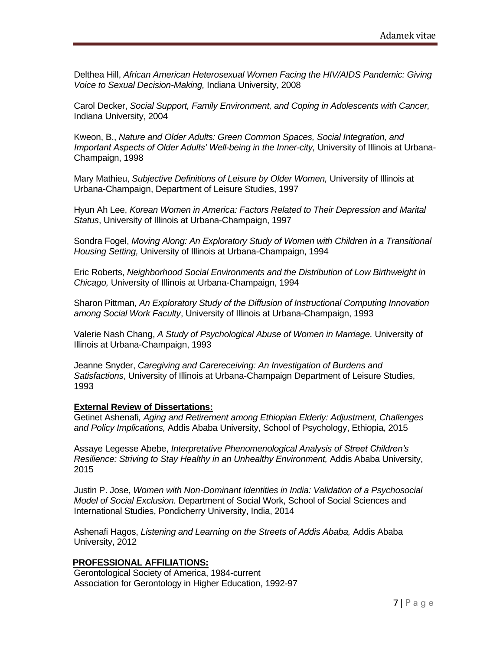Delthea Hill, *African American Heterosexual Women Facing the HIV/AIDS Pandemic: Giving Voice to Sexual Decision-Making,* Indiana University, 2008

Carol Decker, *Social Support, Family Environment, and Coping in Adolescents with Cancer,* Indiana University, 2004

Kweon, B., *Nature and Older Adults: Green Common Spaces, Social Integration, and Important Aspects of Older Adults' Well-being in the Inner-city,* University of Illinois at Urbana-Champaign, 1998

Mary Mathieu, *Subjective Definitions of Leisure by Older Women,* University of Illinois at Urbana-Champaign, Department of Leisure Studies, 1997

Hyun Ah Lee, *Korean Women in America: Factors Related to Their Depression and Marital Status*, University of Illinois at Urbana-Champaign, 1997

Sondra Fogel, *Moving Along: An Exploratory Study of Women with Children in a Transitional Housing Setting,* University of Illinois at Urbana-Champaign, 1994

Eric Roberts, *Neighborhood Social Environments and the Distribution of Low Birthweight in Chicago,* University of Illinois at Urbana-Champaign, 1994

Sharon Pittman, *An Exploratory Study of the Diffusion of Instructional Computing Innovation among Social Work Faculty*, University of Illinois at Urbana-Champaign, 1993

Valerie Nash Chang, *A Study of Psychological Abuse of Women in Marriage.* University of Illinois at Urbana-Champaign, 1993

Jeanne Snyder, *Caregiving and Carereceiving: An Investigation of Burdens and Satisfactions*, University of Illinois at Urbana-Champaign Department of Leisure Studies, 1993

#### **External Review of Dissertations:**

Getinet Ashenafi*, Aging and Retirement among Ethiopian Elderly: Adjustment, Challenges and Policy Implications,* Addis Ababa University, School of Psychology, Ethiopia, 2015

Assaye Legesse Abebe, *Interpretative Phenomenological Analysis of Street Children's Resilience: Striving to Stay Healthy in an Unhealthy Environment, Addis Ababa University,* 2015

 Justin P. Jose, *Women with Non-Dominant Identities in India: Validation of a Psychosocial Model of Social Exclusion.* Department of Social Work, School of Social Sciences and International Studies, Pondicherry University, India, 2014

Ashenafi Hagos, *Listening and Learning on the Streets of Addis Ababa,* Addis Ababa University, 2012

#### **PROFESSIONAL AFFILIATIONS:**

Gerontological Society of America, 1984-current Association for Gerontology in Higher Education, 1992-97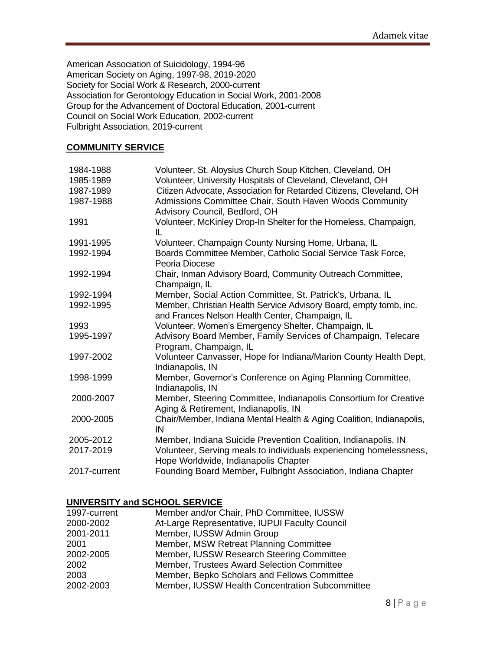American Association of Suicidology, 1994-96 American Society on Aging, 1997-98, 2019-2020 Society for Social Work & Research, 2000-current Association for Gerontology Education in Social Work, 2001-2008 Group for the Advancement of Doctoral Education, 2001-current Council on Social Work Education, 2002-current Fulbright Association, 2019-current

#### **COMMUNITY SERVICE**

| 1984-1988    | Volunteer, St. Aloysius Church Soup Kitchen, Cleveland, OH                                                           |
|--------------|----------------------------------------------------------------------------------------------------------------------|
| 1985-1989    | Volunteer, University Hospitals of Cleveland, Cleveland, OH                                                          |
| 1987-1989    | Citizen Advocate, Association for Retarded Citizens, Cleveland, OH                                                   |
| 1987-1988    | Admissions Committee Chair, South Haven Woods Community<br>Advisory Council, Bedford, OH                             |
| 1991         | Volunteer, McKinley Drop-In Shelter for the Homeless, Champaign,<br>IL                                               |
| 1991-1995    | Volunteer, Champaign County Nursing Home, Urbana, IL                                                                 |
| 1992-1994    | Boards Committee Member, Catholic Social Service Task Force,<br>Peoria Diocese                                       |
| 1992-1994    | Chair, Inman Advisory Board, Community Outreach Committee,<br>Champaign, IL                                          |
| 1992-1994    | Member, Social Action Committee, St. Patrick's, Urbana, IL                                                           |
| 1992-1995    | Member, Christian Health Service Advisory Board, empty tomb, inc.<br>and Frances Nelson Health Center, Champaign, IL |
| 1993         | Volunteer, Women's Emergency Shelter, Champaign, IL                                                                  |
| 1995-1997    | Advisory Board Member, Family Services of Champaign, Telecare<br>Program, Champaign, IL                              |
| 1997-2002    | Volunteer Canvasser, Hope for Indiana/Marion County Health Dept,<br>Indianapolis, IN                                 |
| 1998-1999    | Member, Governor's Conference on Aging Planning Committee,<br>Indianapolis, IN                                       |
| 2000-2007    | Member, Steering Committee, Indianapolis Consortium for Creative<br>Aging & Retirement, Indianapolis, IN             |
| 2000-2005    | Chair/Member, Indiana Mental Health & Aging Coalition, Indianapolis,<br>IN                                           |
| 2005-2012    | Member, Indiana Suicide Prevention Coalition, Indianapolis, IN                                                       |
| 2017-2019    | Volunteer, Serving meals to individuals experiencing homelessness,<br>Hope Worldwide, Indianapolis Chapter           |
| 2017-current | Founding Board Member, Fulbright Association, Indiana Chapter                                                        |

### **UNIVERSITY and SCHOOL SERVICE**

| 1997-current | Member and/or Chair, PhD Committee, IUSSW       |
|--------------|-------------------------------------------------|
| 2000-2002    | At-Large Representative, IUPUI Faculty Council  |
| 2001-2011    | Member, IUSSW Admin Group                       |
| 2001         | Member, MSW Retreat Planning Committee          |
| 2002-2005    | Member, IUSSW Research Steering Committee       |
| 2002         | Member, Trustees Award Selection Committee      |
| 2003         | Member, Bepko Scholars and Fellows Committee    |
| 2002-2003    | Member, IUSSW Health Concentration Subcommittee |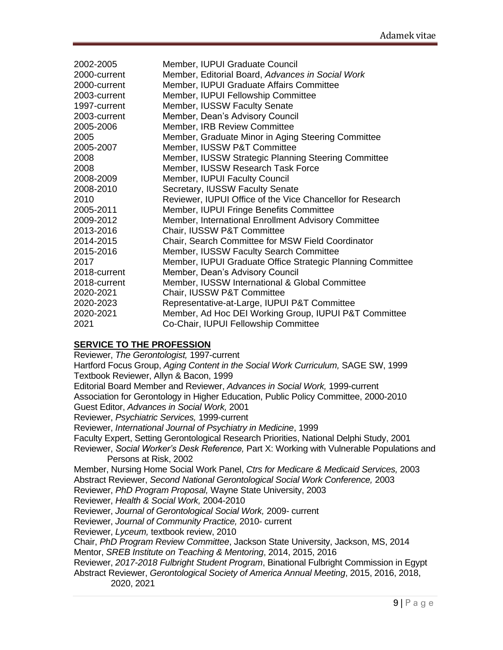| 2002-2005    | Member, IUPUI Graduate Council                             |
|--------------|------------------------------------------------------------|
| 2000-current | Member, Editorial Board, Advances in Social Work           |
| 2000-current | Member, IUPUI Graduate Affairs Committee                   |
| 2003-current | Member, IUPUI Fellowship Committee                         |
| 1997-current | <b>Member, IUSSW Faculty Senate</b>                        |
| 2003-current | Member, Dean's Advisory Council                            |
| 2005-2006    | <b>Member, IRB Review Committee</b>                        |
| 2005         | Member, Graduate Minor in Aging Steering Committee         |
| 2005-2007    | Member, IUSSW P&T Committee                                |
| 2008         | Member, IUSSW Strategic Planning Steering Committee        |
| 2008         | Member, IUSSW Research Task Force                          |
| 2008-2009    | Member, IUPUI Faculty Council                              |
| 2008-2010    | Secretary, IUSSW Faculty Senate                            |
| 2010         | Reviewer, IUPUI Office of the Vice Chancellor for Research |
| 2005-2011    | Member, IUPUI Fringe Benefits Committee                    |
| 2009-2012    | Member, International Enrollment Advisory Committee        |
| 2013-2016    | Chair, IUSSW P&T Committee                                 |
| 2014-2015    | Chair, Search Committee for MSW Field Coordinator          |
| 2015-2016    | Member, IUSSW Faculty Search Committee                     |
| 2017         | Member, IUPUI Graduate Office Strategic Planning Committee |
| 2018-current | Member, Dean's Advisory Council                            |
| 2018-current | Member, IUSSW International & Global Committee             |
| 2020-2021    | Chair, IUSSW P&T Committee                                 |
| 2020-2023    | Representative-at-Large, IUPUI P&T Committee               |
| 2020-2021    | Member, Ad Hoc DEI Working Group, IUPUI P&T Committee      |
| 2021         | Co-Chair, IUPUI Fellowship Committee                       |

### **SERVICE TO THE PROFESSION**

Reviewer, *The Gerontologist,* 1997-current Hartford Focus Group, *Aging Content in the Social Work Curriculum,* SAGE SW, 1999 Textbook Reviewer, Allyn & Bacon, 1999 Editorial Board Member and Reviewer, *Advances in Social Work,* 1999-current Association for Gerontology in Higher Education, Public Policy Committee, 2000-2010 Guest Editor, *Advances in Social Work,* 2001 Reviewer, *Psychiatric Services,* 1999-current Reviewer, *International Journal of Psychiatry in Medicine*, 1999 Faculty Expert, Setting Gerontological Research Priorities, National Delphi Study, 2001 Reviewer, *Social Worker's Desk Reference,* Part X: Working with Vulnerable Populations and Persons at Risk, 2002 Member, Nursing Home Social Work Panel, *Ctrs for Medicare & Medicaid Services,* 2003 Abstract Reviewer, *Second National Gerontological Social Work Conference,* 2003 Reviewer, *PhD Program Proposal,* Wayne State University, 2003 Reviewer, *Health & Social Work,* 2004-2010 Reviewer, *Journal of Gerontological Social Work,* 2009- current Reviewer, *Journal of Community Practice,* 2010- current Reviewer, *Lyceum,* textbook review, 2010 Chair, *PhD Program Review Committee*, Jackson State University, Jackson, MS, 2014 Mentor, *SREB Institute on Teaching & Mentoring*, 2014, 2015, 2016 Reviewer, *2017-2018 Fulbright Student Program*, Binational Fulbright Commission in Egypt Abstract Reviewer, *Gerontological Society of America Annual Meeting*, 2015, 2016, 2018, 2020, 2021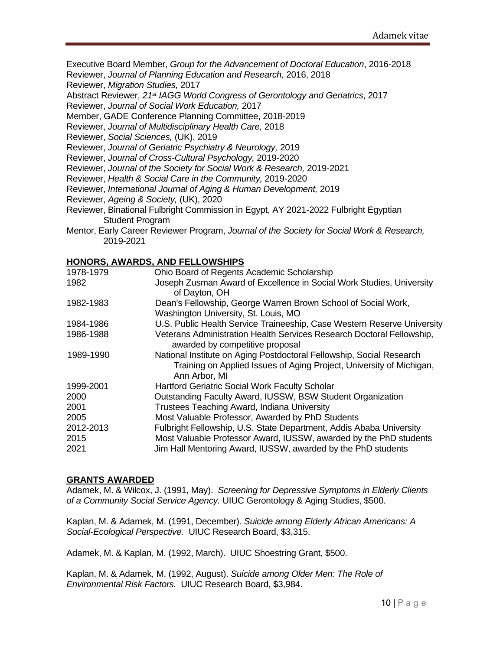Executive Board Member, *Group for the Advancement of Doctoral Education*, 2016-2018

Reviewer, *Journal of Planning Education and Research,* 2016, 2018

Reviewer, *Migration Studies,* 2017

Abstract Reviewer, *21st IAGG World Congress of Gerontology and Geriatrics*, 2017

Reviewer, *Journal of Social Work Education,* 2017

Member, GADE Conference Planning Committee, 2018-2019

Reviewer, *Journal of Multidisciplinary Health Care,* 2018

Reviewer, *Social Sciences,* (UK), 2019

Reviewer, *Journal of Geriatric Psychiatry & Neurology,* 2019

Reviewer, *Journal of Cross-Cultural Psychology,* 2019-2020

Reviewer, *Journal of the Society for Social Work & Research,* 2019-2021

Reviewer, *Health & Social Care in the Community,* 2019-2020

Reviewer, *International Journal of Aging & Human Development,* 2019

Reviewer, *Ageing & Society,* (UK), 2020

- Reviewer, Binational Fulbright Commission in Egypt, AY 2021-2022 Fulbright Egyptian Student Program
- Mentor, Early Career Reviewer Program, *Journal of the Society for Social Work & Research,*  2019-2021

### **HONORS, AWARDS, AND FELLOWSHIPS**

| 1978-1979 | Ohio Board of Regents Academic Scholarship                                                                                                                    |
|-----------|---------------------------------------------------------------------------------------------------------------------------------------------------------------|
| 1982      | Joseph Zusman Award of Excellence in Social Work Studies, University<br>of Dayton, OH                                                                         |
| 1982-1983 | Dean's Fellowship, George Warren Brown School of Social Work,<br>Washington University, St. Louis, MO                                                         |
| 1984-1986 | U.S. Public Health Service Traineeship, Case Western Reserve University                                                                                       |
| 1986-1988 | Veterans Administration Health Services Research Doctoral Fellowship,<br>awarded by competitive proposal                                                      |
| 1989-1990 | National Institute on Aging Postdoctoral Fellowship, Social Research<br>Training on Applied Issues of Aging Project, University of Michigan,<br>Ann Arbor, MI |
| 1999-2001 | <b>Hartford Geriatric Social Work Faculty Scholar</b>                                                                                                         |
| 2000      | Outstanding Faculty Award, IUSSW, BSW Student Organization                                                                                                    |
| 2001      | Trustees Teaching Award, Indiana University                                                                                                                   |
| 2005      | Most Valuable Professor, Awarded by PhD Students                                                                                                              |
| 2012-2013 | Fulbright Fellowship, U.S. State Department, Addis Ababa University                                                                                           |
| 2015      | Most Valuable Professor Award, IUSSW, awarded by the PhD students                                                                                             |
| 2021      | Jim Hall Mentoring Award, IUSSW, awarded by the PhD students                                                                                                  |
|           |                                                                                                                                                               |

#### **GRANTS AWARDED**

Adamek, M. & Wilcox, J. (1991, May). *Screening for Depressive Symptoms in Elderly Clients of a Community Social Service Agency.* UIUC Gerontology & Aging Studies, \$500.

Kaplan, M. & Adamek, M. (1991, December). *Suicide among Elderly African Americans: A Social-Ecological Perspective.* UIUC Research Board, \$3,315.

Adamek, M. & Kaplan, M. (1992, March). UIUC Shoestring Grant, \$500.

Kaplan, M. & Adamek, M. (1992, August). *Suicide among Older Men: The Role of Environmental Risk Factors.* UIUC Research Board, \$3,984.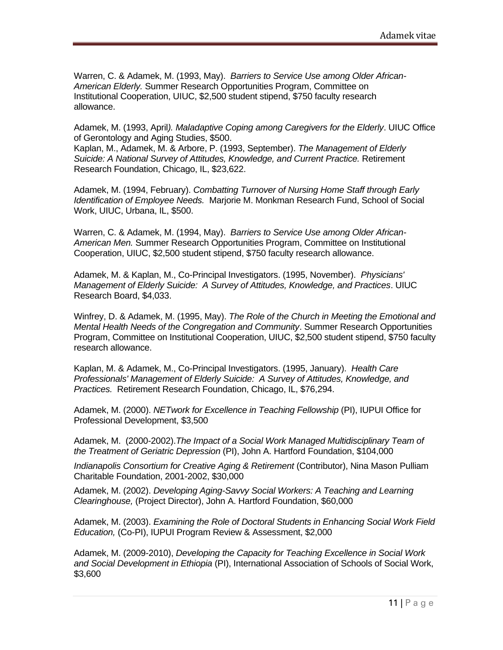Warren, C. & Adamek, M. (1993, May). *Barriers to Service Use among Older African-American Elderly.* Summer Research Opportunities Program, Committee on Institutional Cooperation, UIUC, \$2,500 student stipend, \$750 faculty research allowance.

Adamek, M. (1993, April*). Maladaptive Coping among Caregivers for the Elderly*. UIUC Office of Gerontology and Aging Studies, \$500.

Kaplan, M., Adamek, M. & Arbore, P. (1993, September). *The Management of Elderly Suicide: A National Survey of Attitudes, Knowledge, and Current Practice. Retirement* Research Foundation, Chicago, IL, \$23,622.

Adamek, M. (1994, February). *Combatting Turnover of Nursing Home Staff through Early Identification of Employee Needs.* Marjorie M. Monkman Research Fund, School of Social Work, UIUC, Urbana, IL, \$500.

Warren, C. & Adamek, M. (1994, May). *Barriers to Service Use among Older African-American Men.* Summer Research Opportunities Program, Committee on Institutional Cooperation, UIUC, \$2,500 student stipend, \$750 faculty research allowance.

Adamek, M. & Kaplan, M., Co-Principal Investigators. (1995, November). *Physicians' Management of Elderly Suicide: A Survey of Attitudes, Knowledge, and Practices*. UIUC Research Board, \$4,033.

Winfrey, D. & Adamek, M. (1995, May). *The Role of the Church in Meeting the Emotional and Mental Health Needs of the Congregation and Community*. Summer Research Opportunities Program, Committee on Institutional Cooperation, UIUC, \$2,500 student stipend, \$750 faculty research allowance.

Kaplan, M. & Adamek, M., Co-Principal Investigators. (1995, January). *Health Care Professionals' Management of Elderly Suicide: A Survey of Attitudes, Knowledge, and Practices.* Retirement Research Foundation, Chicago, IL, \$76,294.

Adamek, M. (2000). *NETwork for Excellence in Teaching Fellowship* (PI), IUPUI Office for Professional Development, \$3,500

Adamek, M. (2000-2002).*The Impact of a Social Work Managed Multidisciplinary Team of the Treatment of Geriatric Depression* (PI), John A. Hartford Foundation, \$104,000

*Indianapolis Consortium for Creative Aging & Retirement* (Contributor), Nina Mason Pulliam Charitable Foundation, 2001-2002, \$30,000

Adamek, M. (2002). *Developing Aging-Savvy Social Workers: A Teaching and Learning Clearinghouse,* (Project Director), John A. Hartford Foundation, \$60,000

Adamek, M. (2003). *Examining the Role of Doctoral Students in Enhancing Social Work Field Education,* (Co-PI), IUPUI Program Review & Assessment, \$2,000

Adamek, M. (2009-2010), *Developing the Capacity for Teaching Excellence in Social Work and Social Development in Ethiopia* (PI), International Association of Schools of Social Work, \$3,600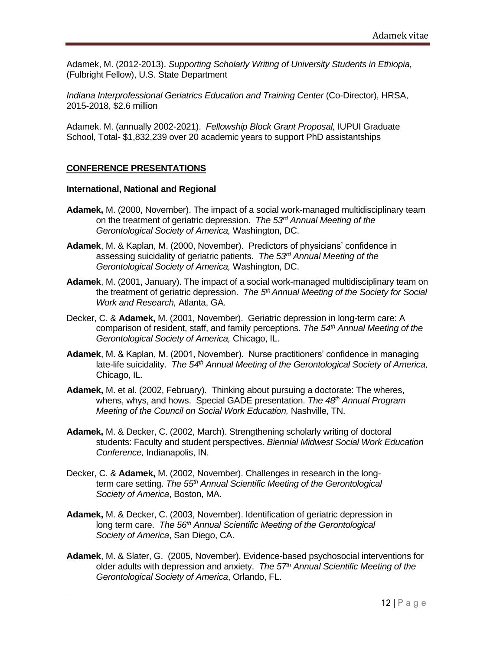Adamek, M. (2012-2013). *Supporting Scholarly Writing of University Students in Ethiopia,*  (Fulbright Fellow), U.S. State Department

*Indiana Interprofessional Geriatrics Education and Training Center (Co-Director), HRSA,* 2015-2018, \$2.6 million

Adamek. M. (annually 2002-2021). *Fellowship Block Grant Proposal,* IUPUI Graduate School, Total- \$1,832,239 over 20 academic years to support PhD assistantships

### **CONFERENCE PRESENTATIONS**

#### **International, National and Regional**

- **Adamek,** M. (2000, November). The impact of a social work-managed multidisciplinary team on the treatment of geriatric depression. *The 53rd Annual Meeting of the Gerontological Society of America,* Washington, DC.
- **Adamek**, M. & Kaplan, M. (2000, November). Predictors of physicians' confidence in assessing suicidality of geriatric patients. *The 53rd Annual Meeting of the Gerontological Society of America,* Washington, DC.
- **Adamek**, M. (2001, January). The impact of a social work-managed multidisciplinary team on the treatment of geriatric depression. *The 5th Annual Meeting of the Society for Social Work and Research,* Atlanta, GA.
- Decker, C. & **Adamek,** M. (2001, November). Geriatric depression in long-term care: A comparison of resident, staff, and family perceptions. *The 54th Annual Meeting of the Gerontological Society of America,* Chicago, IL.
- **Adamek**, M. & Kaplan, M. (2001, November). Nurse practitioners' confidence in managing late-life suicidality. The 54<sup>th</sup> Annual Meeting of the Gerontological Society of America, Chicago, IL.
- **Adamek,** M. et al. (2002, February). Thinking about pursuing a doctorate: The wheres, whens, whys, and hows. Special GADE presentation. *The 48th Annual Program Meeting of the Council on Social Work Education,* Nashville, TN.
- **Adamek,** M. & Decker, C. (2002, March). Strengthening scholarly writing of doctoral students: Faculty and student perspectives. *Biennial Midwest Social Work Education Conference,* Indianapolis, IN.
- Decker, C. & **Adamek,** M. (2002, November). Challenges in research in the longterm care setting. *The 55th Annual Scientific Meeting of the Gerontological Society of America*, Boston, MA.
- **Adamek,** M. & Decker, C. (2003, November). Identification of geriatric depression in long term care. *The 56th Annual Scientific Meeting of the Gerontological Society of America*, San Diego, CA.
- **Adamek**, M. & Slater, G. (2005, November). Evidence-based psychosocial interventions for older adults with depression and anxiety. *The 57th Annual Scientific Meeting of the Gerontological Society of America*, Orlando, FL.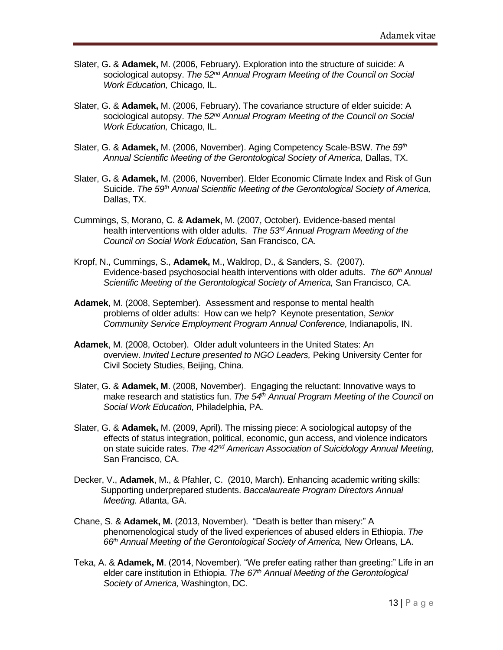- Slater, G**.** & **Adamek,** M. (2006, February). Exploration into the structure of suicide: A sociological autopsy. *The 52nd Annual Program Meeting of the Council on Social Work Education,* Chicago, IL.
- Slater, G. & **Adamek,** M. (2006, February). The covariance structure of elder suicide: A sociological autopsy. *The 52nd Annual Program Meeting of the Council on Social Work Education,* Chicago, IL.
- Slater, G. & **Adamek,** M. (2006, November). Aging Competency Scale-BSW. *The 59th* Annual Scientific Meeting of the Gerontological Society of America, Dallas, TX.
- Slater, G**.** & **Adamek,** M. (2006, November). Elder Economic Climate Index and Risk of Gun Suicide. *The 59th Annual Scientific Meeting of the Gerontological Society of America,*  Dallas, TX.
- Cummings, S, Morano, C. & **Adamek,** M. (2007, October). Evidence-based mental health interventions with older adults. *The 53rd Annual Program Meeting of the Council on Social Work Education,* San Francisco, CA.
- Kropf, N., Cummings, S., **Adamek,** M., Waldrop, D., & Sanders, S. (2007). Evidence-based psychosocial health interventions with older adults. *The 60th Annual Scientific Meeting of the Gerontological Society of America,* San Francisco, CA.
- **Adamek**, M. (2008, September). Assessment and response to mental health problems of older adults: How can we help? Keynote presentation, *Senior Community Service Employment Program Annual Conference,* Indianapolis, IN.
- **Adamek**, M. (2008, October). Older adult volunteers in the United States: An overview. *Invited Lecture presented to NGO Leaders,* Peking University Center for Civil Society Studies, Beijing, China.
- Slater, G. & **Adamek, M**. (2008, November). Engaging the reluctant: Innovative ways to make research and statistics fun. *The 54th Annual Program Meeting of the Council on Social Work Education,* Philadelphia, PA.
- Slater, G. & **Adamek,** M. (2009, April). The missing piece: A sociological autopsy of the effects of status integration, political, economic, gun access, and violence indicators on state suicide rates. *The 42nd American Association of Suicidology Annual Meeting,*  San Francisco, CA.
- Decker, V., **Adamek**, M., & Pfahler, C. (2010, March). Enhancing academic writing skills: Supporting underprepared students. *Baccalaureate Program Directors Annual Meeting.* Atlanta, GA.
- Chane, S. & **Adamek, M.** (2013, November). "Death is better than misery:" A phenomenological study of the lived experiences of abused elders in Ethiopia. *The 66th Annual Meeting of the Gerontological Society of America,* New Orleans, LA.
- Teka, A. & **Adamek, M**. (2014, November). "We prefer eating rather than greeting:" Life in an elder care institution in Ethiopia. *The 67th Annual Meeting of the Gerontological Society of America,* Washington, DC.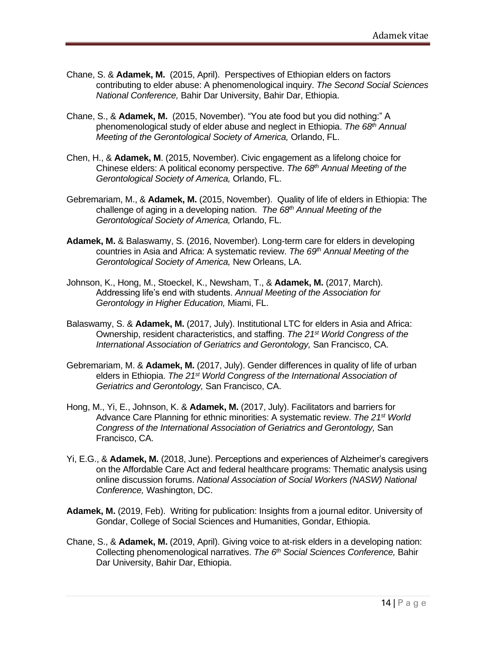- Chane, S. & **Adamek, M.** (2015, April). Perspectives of Ethiopian elders on factors contributing to elder abuse: A phenomenological inquiry. *The Second Social Sciences National Conference,* Bahir Dar University, Bahir Dar, Ethiopia.
- Chane, S., & **Adamek, M.** (2015, November). "You ate food but you did nothing:" A phenomenological study of elder abuse and neglect in Ethiopia. *The 68 th Annual Meeting of the Gerontological Society of America,* Orlando, FL.
- Chen, H., & **Adamek, M**. (2015, November). Civic engagement as a lifelong choice for Chinese elders: A political economy perspective. *The 68 th Annual Meeting of the Gerontological Society of America,* Orlando, FL.
- Gebremariam, M., & **Adamek, M.** (2015, November). Quality of life of elders in Ethiopia: The challenge of aging in a developing nation. *The 68 th Annual Meeting of the Gerontological Society of America,* Orlando, FL.
- **Adamek, M.** & Balaswamy, S. (2016, November). Long-term care for elders in developing countries in Asia and Africa: A systematic review. *The 69 th Annual Meeting of the Gerontological Society of America,* New Orleans, LA.
- Johnson, K., Hong, M., Stoeckel, K., Newsham, T., & **Adamek, M.** (2017, March). Addressing life's end with students. *Annual Meeting of the Association for Gerontology in Higher Education,* Miami, FL.
- Balaswamy, S. & **Adamek, M.** (2017, July). Institutional LTC for elders in Asia and Africa: Ownership, resident characteristics, and staffing. *The 21st World Congress of the International Association of Geriatrics and Gerontology,* San Francisco, CA.
- Gebremariam, M. & **Adamek, M.** (2017, July). Gender differences in quality of life of urban elders in Ethiopia. *The 21st World Congress of the International Association of Geriatrics and Gerontology,* San Francisco, CA.
- Hong, M., Yi, E., Johnson, K. & **Adamek, M.** (2017, July). Facilitators and barriers for Advance Care Planning for ethnic minorities: A systematic review. *The 21st World Congress of the International Association of Geriatrics and Gerontology,* San Francisco, CA.
- Yi, E.G., & **Adamek, M.** (2018, June). Perceptions and experiences of Alzheimer's caregivers on the Affordable Care Act and federal healthcare programs: Thematic analysis using online discussion forums. *National Association of Social Workers (NASW) National Conference,* Washington, DC.
- **Adamek, M.** (2019, Feb). Writing for publication: Insights from a journal editor. University of Gondar, College of Social Sciences and Humanities, Gondar, Ethiopia.
- Chane, S., & **Adamek, M.** (2019, April). Giving voice to at-risk elders in a developing nation: Collecting phenomenological narratives. *The 6th Social Sciences Conference,* Bahir Dar University, Bahir Dar, Ethiopia.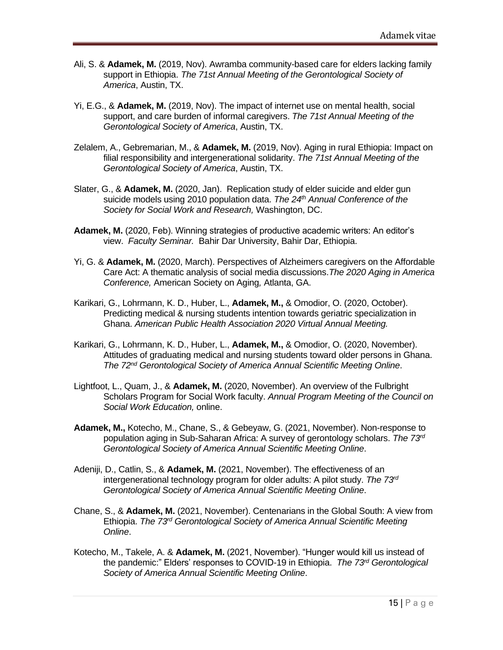- Ali, S. & **Adamek, M.** (2019, Nov). Awramba community-based care for elders lacking family support in Ethiopia. *The 71st Annual Meeting of the Gerontological Society of America*, Austin, TX.
- Yi, E.G., & **Adamek, M.** (2019, Nov). The impact of internet use on mental health, social support, and care burden of informal caregivers. *The 71st Annual Meeting of the Gerontological Society of America*, Austin, TX.
- Zelalem, A., Gebremarian, M., & **Adamek, M.** (2019, Nov). Aging in rural Ethiopia: Impact on filial responsibility and intergenerational solidarity. *The 71st Annual Meeting of the Gerontological Society of America*, Austin, TX.
- Slater, G., & **Adamek, M.** (2020, Jan). Replication study of elder suicide and elder gun suicide models using 2010 population data. *The 24th Annual Conference of the Society for Social Work and Research,* Washington, DC.
- **Adamek, M.** (2020, Feb). Winning strategies of productive academic writers: An editor's view. *Faculty Seminar.* Bahir Dar University, Bahir Dar, Ethiopia.
- Yi, G. & **Adamek, M.** (2020, March). Perspectives of Alzheimers caregivers on the Affordable Care Act: A thematic analysis of social media discussions.*The 2020 Aging in America Conference,* American Society on Aging*,* Atlanta, GA.
- Karikari, G., Lohrmann, K. D., Huber, L., **Adamek, M.,** & Omodior, O. (2020, October). Predicting medical & nursing students intention towards geriatric specialization in Ghana. *American Public Health Association 2020 Virtual Annual Meeting.*
- Karikari, G., Lohrmann, K. D., Huber, L., **Adamek, M.,** & Omodior, O. (2020, November). Attitudes of graduating medical and nursing students toward older persons in Ghana. *The 72nd Gerontological Society of America Annual Scientific Meeting Online*.
- Lightfoot, L., Quam, J., & **Adamek, M.** (2020, November). An overview of the Fulbright Scholars Program for Social Work faculty. *Annual Program Meeting of the Council on Social Work Education,* online.
- **Adamek, M.,** Kotecho, M., Chane, S., & Gebeyaw, G. (2021, November). Non-response to population aging in Sub-Saharan Africa: A survey of gerontology scholars. *The 73rd Gerontological Society of America Annual Scientific Meeting Online*.
- Adeniji, D., Catlin, S., & **Adamek, M.** (2021, November). The effectiveness of an intergenerational technology program for older adults: A pilot study. *The 73rd Gerontological Society of America Annual Scientific Meeting Online*.
- Chane, S., & **Adamek, M.** (2021, November). Centenarians in the Global South: A view from Ethiopia. The 73<sup>rd</sup> Gerontological Society of America Annual Scientific Meeting *Online*.
- Kotecho, M., Takele, A. & **Adamek, M.** (2021, November). "Hunger would kill us instead of the pandemic:" Elders' responses to COVID-19 in Ethiopia. *The 73rd Gerontological Society of America Annual Scientific Meeting Online*.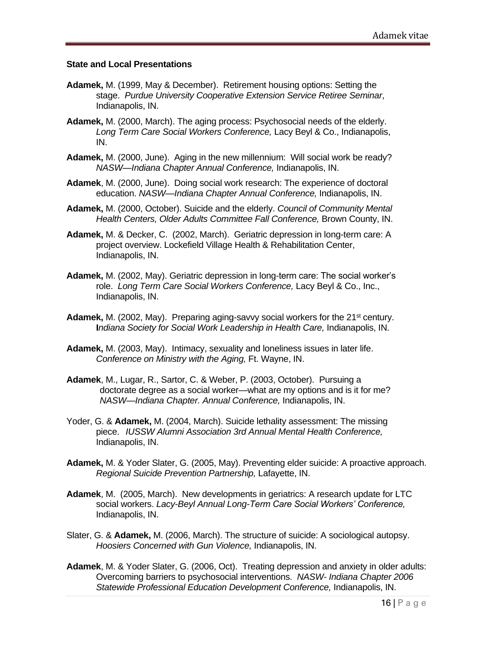#### **State and Local Presentations**

- **Adamek,** M. (1999, May & December). Retirement housing options: Setting the stage. *Purdue University Cooperative Extension Service Retiree Seminar*, Indianapolis, IN.
- **Adamek,** M. (2000, March). The aging process: Psychosocial needs of the elderly. *Long Term Care Social Workers Conference,* Lacy Beyl & Co., Indianapolis, IN.
- **Adamek,** M. (2000, June). Aging in the new millennium: Will social work be ready? *NASW—Indiana Chapter Annual Conference,* Indianapolis, IN.
- **Adamek**, M. (2000, June). Doing social work research: The experience of doctoral education. *NASW—Indiana Chapter Annual Conference,* Indianapolis, IN.
- **Adamek,** M. (2000, October). Suicide and the elderly. *Council of Community Mental Health Centers, Older Adults Committee Fall Conference,* Brown County, IN.
- **Adamek,** M. & Decker, C. (2002, March). Geriatric depression in long-term care: A project overview. Lockefield Village Health & Rehabilitation Center, Indianapolis, IN.
- **Adamek,** M. (2002, May). Geriatric depression in long-term care: The social worker's role. *Long Term Care Social Workers Conference,* Lacy Beyl & Co., Inc., Indianapolis, IN.
- **Adamek,** M. (2002, May). Preparing aging-savvy social workers for the 21<sup>st</sup> century. **I***ndiana Society for Social Work Leadership in Health Care,* Indianapolis, IN.
- **Adamek,** M. (2003, May). Intimacy, sexuality and loneliness issues in later life. *Conference on Ministry with the Aging,* Ft. Wayne, IN.
- **Adamek**, M., Lugar, R., Sartor, C. & Weber, P. (2003, October). Pursuing a doctorate degree as a social worker—what are my options and is it for me? *NASW—Indiana Chapter. Annual Conference,* Indianapolis, IN.
- Yoder, G. & **Adamek,** M. (2004, March). Suicide lethality assessment: The missing piece. *IUSSW Alumni Association 3rd Annual Mental Health Conference,*  Indianapolis, IN.
- **Adamek,** M. & Yoder Slater, G. (2005, May). Preventing elder suicide: A proactive approach. *Regional Suicide Prevention Partnership,* Lafayette, IN.
- **Adamek**, M. (2005, March). New developments in geriatrics: A research update for LTC social workers. *Lacy-Beyl Annual Long-Term Care Social Workers' Conference,*  Indianapolis, IN.
- Slater, G. & **Adamek,** M. (2006, March). The structure of suicide: A sociological autopsy. *Hoosiers Concerned with Gun Violence,* Indianapolis, IN.
- **Adamek**, M. & Yoder Slater, G. (2006, Oct).Treating depression and anxiety in older adults: Overcoming barriers to psychosocial interventions. *NASW- Indiana Chapter 2006 Statewide Professional Education Development Conference,* Indianapolis, IN.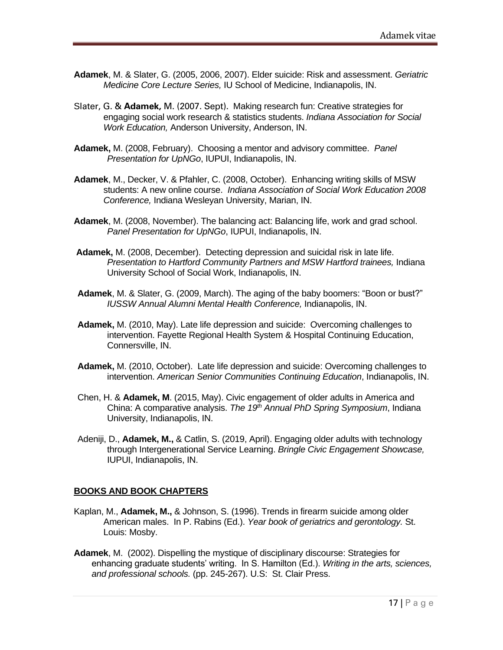- **Adamek**, M. & Slater, G. (2005, 2006, 2007). Elder suicide: Risk and assessment. *Geriatric Medicine Core Lecture Series,* IU School of Medicine, Indianapolis, IN.
- Slater, G. & **Adamek,** M. (2007. Sept). Making research fun: Creative strategies for engaging social work research & statistics students. *Indiana Association for Social Work Education,* Anderson University, Anderson, IN.
- **Adamek,** M. (2008, February). Choosing a mentor and advisory committee. *Panel Presentation for UpNGo*, IUPUI, Indianapolis, IN.
- **Adamek**, M., Decker, V. & Pfahler, C. (2008, October). Enhancing writing skills of MSW students: A new online course. *Indiana Association of Social Work Education 2008 Conference,* Indiana Wesleyan University, Marian, IN.
- **Adamek**, M. (2008, November). The balancing act: Balancing life, work and grad school. *Panel Presentation for UpNGo*, IUPUI, Indianapolis, IN.
- **Adamek,** M. (2008, December). Detecting depression and suicidal risk in late life. *Presentation to Hartford Community Partners and MSW Hartford trainees,* Indiana University School of Social Work, Indianapolis, IN.
- **Adamek**, M. & Slater, G. (2009, March). The aging of the baby boomers: "Boon or bust?" *IUSSW Annual Alumni Mental Health Conference,* Indianapolis, IN.
- **Adamek,** M. (2010, May). Late life depression and suicide: Overcoming challenges to intervention. Fayette Regional Health System & Hospital Continuing Education, Connersville, IN.
- **Adamek,** M. (2010, October). Late life depression and suicide: Overcoming challenges to intervention. *American Senior Communities Continuing Education*, Indianapolis, IN.
- Chen, H. & **Adamek, M**. (2015, May). Civic engagement of older adults in America and China: A comparative analysis. *The 19th Annual PhD Spring Symposium*, Indiana University, Indianapolis, IN.
- Adeniji, D., **Adamek, M.,** & Catlin, S. (2019, April). Engaging older adults with technology through Intergenerational Service Learning. *Bringle Civic Engagement Showcase,*  IUPUI, Indianapolis, IN.

### **BOOKS AND BOOK CHAPTERS**

- Kaplan, M., **Adamek, M.,** & Johnson, S. (1996). Trends in firearm suicide among older American males. In P. Rabins (Ed.). *Year book of geriatrics and gerontology.* St. Louis: Mosby.
- **Adamek**, M. (2002). Dispelling the mystique of disciplinary discourse: Strategies for enhancing graduate students' writing. In S. Hamilton (Ed.). *Writing in the arts, sciences, and professional schools.* (pp. 245-267). U.S: St. Clair Press.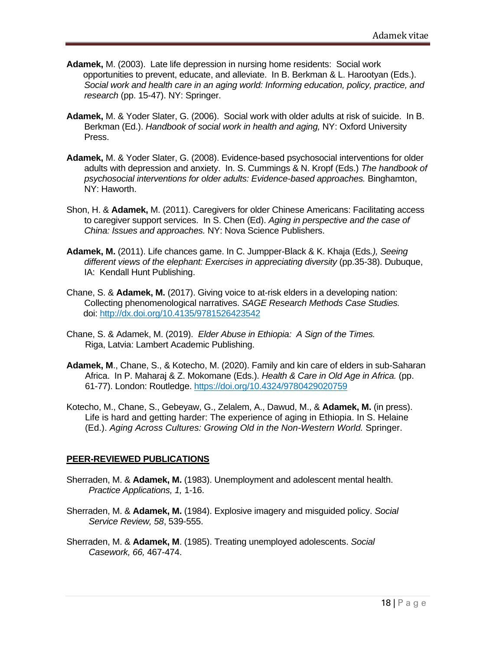- **Adamek,** M. (2003). Late life depression in nursing home residents: Social work opportunities to prevent, educate, and alleviate. In B. Berkman & L. Harootyan (Eds.). *Social work and health care in an aging world: Informing education, policy, practice, and research* (pp. 15-47). NY: Springer.
- **Adamek,** M. & Yoder Slater, G. (2006). Social work with older adults at risk of suicide. In B. Berkman (Ed.). *Handbook of social work in health and aging,* NY: Oxford University Press.
- **Adamek,** M. & Yoder Slater, G. (2008). Evidence-based psychosocial interventions for older adults with depression and anxiety. In. S. Cummings & N. Kropf (Eds.) *The handbook of psychosocial interventions for older adults: Evidence-based approaches.* Binghamton, NY: Haworth.
- Shon, H. & **Adamek,** M. (2011). Caregivers for older Chinese Americans: Facilitating access to caregiver support services. In S. Chen (Ed). *Aging in perspective and the case of China: Issues and approaches.* NY: Nova Science Publishers.
- **Adamek, M.** (2011). Life chances game. In C. Jumpper-Black & K. Khaja (Eds*.), Seeing different views of the elephant: Exercises in appreciating diversity* (pp.35-38). Dubuque, IA: Kendall Hunt Publishing.
- Chane, S. & **Adamek, M.** (2017). Giving voice to at-risk elders in a developing nation: Collecting phenomenological narratives. *SAGE Research Methods Case Studies.*  doi:<http://dx.doi.org/10.4135/9781526423542>
- Chane, S. & Adamek, M. (2019). *Elder Abuse in Ethiopia: A Sign of the Times.* Riga, Latvia: Lambert Academic Publishing.
- **Adamek, M**., Chane, S., & Kotecho, M. (2020). Family and kin care of elders in sub-Saharan Africa. In P. Maharaj & Z. Mokomane (Eds.). *Health & Care in Old Age in Africa.* (pp. 61-77). London: Routledge. <https://doi.org/10.4324/9780429020759>
- Kotecho, M., Chane, S., Gebeyaw, G., Zelalem, A., Dawud, M., & **Adamek, M.** (in press). Life is hard and getting harder: The experience of aging in Ethiopia. In S. Helaine (Ed.). *Aging Across Cultures: Growing Old in the Non-Western World.* Springer.

### **PEER-REVIEWED PUBLICATIONS**

- Sherraden, M. & **Adamek, M.** (1983). Unemployment and adolescent mental health. *Practice Applications, 1,* 1-16.
- Sherraden, M. & **Adamek, M.** (1984). Explosive imagery and misguided policy. *Social Service Review, 58*, 539-555.
- Sherraden, M. & **Adamek, M**. (1985). Treating unemployed adolescents. *Social Casework, 66,* 467-474.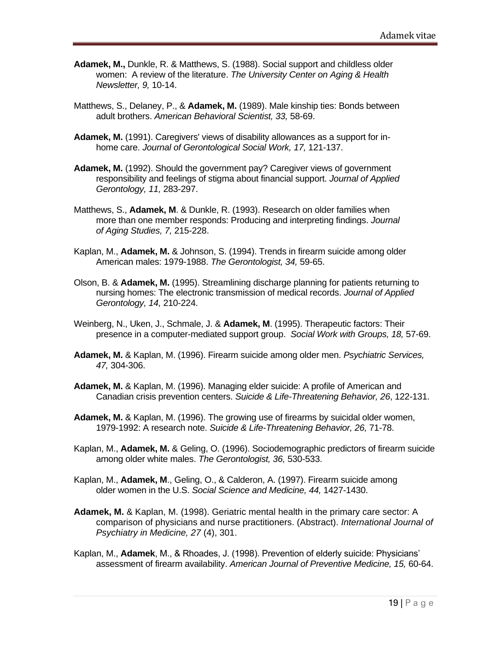- **Adamek, M.,** Dunkle, R. & Matthews, S. (1988). Social support and childless older women: A review of the literature. *The University Center on Aging & Health Newsletter, 9,* 10-14.
- Matthews, S., Delaney, P., & **Adamek, M.** (1989). Male kinship ties: Bonds between adult brothers. *American Behavioral Scientist, 33,* 58-69.
- **Adamek, M.** (1991). Caregivers' views of disability allowances as a support for inhome care. *Journal of Gerontological Social Work, 17,* 121-137.
- **Adamek, M.** (1992). Should the government pay? Caregiver views of government responsibility and feelings of stigma about financial support. *Journal of Applied Gerontology, 11,* 283-297.
- Matthews, S., **Adamek, M**. & Dunkle, R. (1993). Research on older families when more than one member responds: Producing and interpreting findings. *Journal of Aging Studies, 7,* 215-228.
- Kaplan, M., **Adamek, M.** & Johnson, S. (1994). Trends in firearm suicide among older American males: 1979-1988. *The Gerontologist, 34,* 59-65.
- Olson, B. & **Adamek, M.** (1995). Streamlining discharge planning for patients returning to nursing homes: The electronic transmission of medical records. *Journal of Applied Gerontology, 14,* 210-224.
- Weinberg, N., Uken, J., Schmale, J. & **Adamek, M**. (1995). Therapeutic factors: Their presence in a computer-mediated support group. *Social Work with Groups, 18,* 57-69.
- **Adamek, M.** & Kaplan, M. (1996). Firearm suicide among older men. *Psychiatric Services, 47,* 304-306.
- **Adamek, M.** & Kaplan, M. (1996). Managing elder suicide: A profile of American and Canadian crisis prevention centers. *Suicide & Life-Threatening Behavior, 26*, 122-131.
- **Adamek, M.** & Kaplan, M. (1996). The growing use of firearms by suicidal older women, 1979-1992: A research note. *Suicide & Life-Threatening Behavior, 26,* 71-78.
- Kaplan, M., **Adamek, M.** & Geling, O. (1996). Sociodemographic predictors of firearm suicide among older white males. *The Gerontologist, 36,* 530-533.
- Kaplan, M., **Adamek, M**., Geling, O., & Calderon, A. (1997). Firearm suicide among older women in the U.S. *Social Science and Medicine, 44,* 1427-1430.
- **Adamek, M.** & Kaplan, M. (1998). Geriatric mental health in the primary care sector: A comparison of physicians and nurse practitioners. (Abstract). *International Journal of Psychiatry in Medicine, 27* (4), 301.
- Kaplan, M., **Adamek**, M., & Rhoades, J. (1998). Prevention of elderly suicide: Physicians' assessment of firearm availability. *American Journal of Preventive Medicine, 15,* 60-64.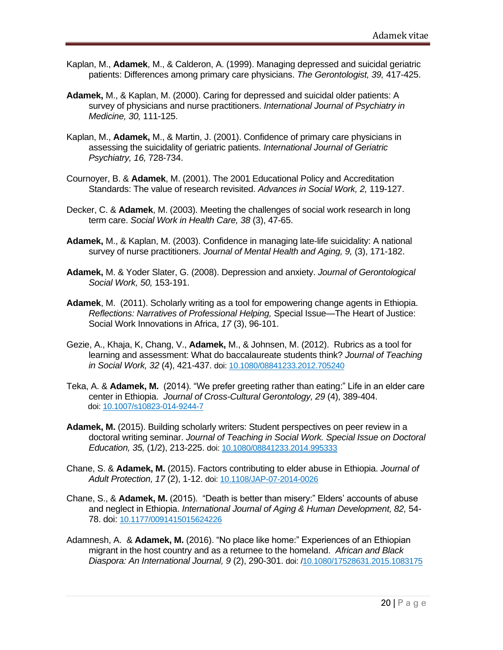- Kaplan, M., **Adamek**, M., & Calderon, A. (1999). Managing depressed and suicidal geriatric patients: Differences among primary care physicians. *The Gerontologist, 39,* 417-425.
- **Adamek,** M., & Kaplan, M. (2000). Caring for depressed and suicidal older patients: A survey of physicians and nurse practitioners. *International Journal of Psychiatry in Medicine, 30,* 111-125.
- Kaplan, M., **Adamek,** M., & Martin, J. (2001). Confidence of primary care physicians in assessing the suicidality of geriatric patients. *International Journal of Geriatric Psychiatry, 16,* 728-734.
- Cournoyer, B. & **Adamek**, M. (2001). The 2001 Educational Policy and Accreditation Standards: The value of research revisited. *Advances in Social Work, 2,* 119-127.
- Decker, C. & **Adamek**, M. (2003). Meeting the challenges of social work research in long term care. *Social Work in Health Care, 38* (3), 47-65.
- **Adamek,** M., & Kaplan, M. (2003). Confidence in managing late-life suicidality: A national survey of nurse practitioners. *Journal of Mental Health and Aging, 9,* (3), 171-182.
- **Adamek,** M. & Yoder Slater, G. (2008). Depression and anxiety. *Journal of Gerontological Social Work, 50,* 153-191.
- **Adamek**, M. (2011). Scholarly writing as a tool for empowering change agents in Ethiopia. *Reflections: Narratives of Professional Helping,* Special Issue—The Heart of Justice: Social Work Innovations in Africa, *17* (3), 96-101.
- Gezie, A., Khaja, K, Chang, V., **Adamek,** M., & Johnsen, M. (2012). Rubrics as a tool for learning and assessment: What do baccalaureate students think? *Journal of Teaching in Social Work, 32* (4), 421-437. doi: [10.1080/08841233.2012.705240](http://dx.doi.org/10.1080/08841233.2012.705240)
- Teka, A. & **Adamek, M.** (2014). "We prefer greeting rather than eating:" Life in an elder care center in Ethiopia. *Journal of Cross-Cultural Gerontology, 29* (4), 389-404. doi: [10.1007/s10823-014-9244-7](http://dx.doi.org/10.1007/s10823-014-9244-7)
- **Adamek, M.** (2015). Building scholarly writers: Student perspectives on peer review in a doctoral writing seminar. *Journal of Teaching in Social Work. Special Issue on Doctoral Education, 35,* (1/2), 213-225. doi: [10.1080/08841233.2014.995333](http://dx.doi.org/10.1080/08841233.2014.995333)
- Chane, S. & **Adamek, M.** (2015). Factors contributing to elder abuse in Ethiopia. *Journal of Adult Protection, 17* (2), 1-12. doi: [10.1108/JAP-07-2014-0026](http://dx.doi.org/%20%2010.1108/JAP-07-2014-0026)
- Chane, S., & **Adamek, M.** (2015). "Death is better than misery:" Elders' accounts of abuse and neglect in Ethiopia. *International Journal of Aging & Human Development, 82,* 54- 78. doi: [10.1177/0091415015624226](http://dx.doi.org/10.1177/00914115015624226)
- Adamnesh, A. & **Adamek, M.** (2016). "No place like home:" Experiences of an Ethiopian migrant in the host country and as a returnee to the homeland. *African and Black Diaspora: An International Journal, 9* (2), 290-301. doi: [/10.1080/17528631.2015.1083175](http://dx.doi.org/10.1080/17528631.2015.1083175)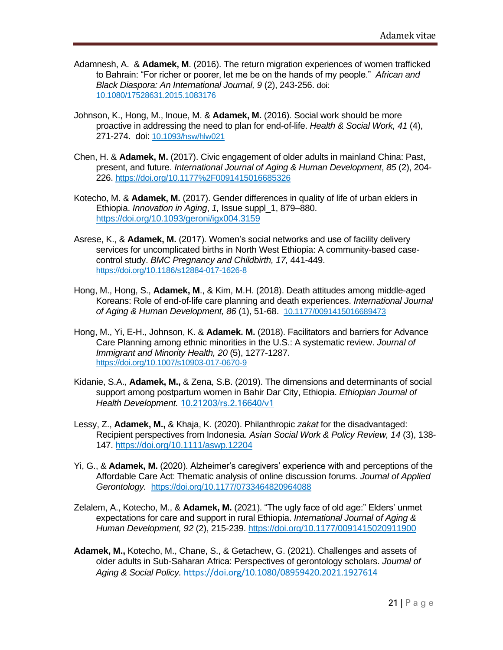- Adamnesh, A. & **Adamek, M**. (2016). The return migration experiences of women trafficked to Bahrain: "For richer or poorer, let me be on the hands of my people." *African and Black Diaspora: An International Journal, 9* (2), 243-256. doi: [10.1080/17528631.2015.1083176](http://dx.doi.org/10.1080/17528631.2015.1083176)
- Johnson, K., Hong, M., Inoue, M. & **Adamek, M.** (2016). Social work should be more proactive in addressing the need to plan for end-of-life. *Health & Social Work, 41* (4), 271-274. doi: [10.1093/hsw/hlw021](http://dx.doi.org/10.1093/hsw/hlw021)
- Chen, H. & **Adamek, M.** (2017). Civic engagement of older adults in mainland China: Past, present, and future. *International Journal of Aging & Human Development*, *85* (2), 204- 226. <https://doi.org/10.1177%2F0091415016685326>
- [Kotecho,](javascript:;) M. & **Adamek, M.** (2017). Gender differences in quality of life of urban elders in Ethiopia. *Innovation in Aging*, *1,* Issue suppl\_1, 879–880. <https://doi.org/10.1093/geroni/igx004.3159>
- Asrese, K., & **Adamek, M.** (2017). Women's social networks and use of facility delivery services for uncomplicated births in North West Ethiopia: A community-based casecontrol study. *BMC Pregnancy and Childbirth, 17,* 441-449. <https://doi.org/10.1186/s12884-017-1626-8>
- Hong, M., Hong, S., **Adamek, M**., & Kim, M.H. (2018). Death attitudes among middle-aged Koreans: Role of end-of-life care planning and death experiences. *International Journal of Aging & Human Development, 86* (1), 51-68. [10.1177/0091415016689473](http://dx.doi.org/10.1177/0091415016689473)
- Hong, M., Yi, E-H., Johnson, K. & **Adamek. M.** (2018). Facilitators and barriers for Advance Care Planning among ethnic minorities in the U.S.: A systematic review. *Journal of Immigrant and Minority Health, 20* (5), 1277-1287. <https://doi.org/10.1007/s10903-017-0670-9>
- Kidanie, S.A., **Adamek, M.,** & Zena, S.B. (2019). The dimensions and determinants of social support among postpartum women in Bahir Dar City, Ethiopia. *Ethiopian Journal of Health Development.* [10.21203/rs.2.16640/v1](https://www.researchgate.net/deref/http%3A%2F%2Fdx.doi.org%2F10.21203%2Frs.2.16640%2Fv1)
- Lessy, Z., **Adamek, M.,** & Khaja, K. (2020). Philanthropic *zakat* for the disadvantaged: Recipient perspectives from Indonesia. *Asian Social Work & Policy Review, 14* (3), 138- 147.<https://doi.org/10.1111/aswp.12204>
- Yi, G., & **Adamek, M.** (2020). Alzheimer's caregivers' experience with and perceptions of the Affordable Care Act: Thematic analysis of online discussion forums. *Journal of Applied Gerontology.* [https://doi.org/10.1177/0733464820964088](https://doi.org/10.1177%2F0733464820964088)
- Zelalem, A., Kotecho, M., & **Adamek, M.** (2021). "The ugly face of old age:" Elders' unmet expectations for care and support in rural Ethiopia. *International Journal of Aging & Human Development, 92* (2), 215-239.<https://doi.org/10.1177/0091415020911900>
- **Adamek, M.,** Kotecho, M., Chane, S., & Getachew, G. (2021). Challenges and assets of older adults in Sub-Saharan Africa: Perspectives of gerontology scholars. *Journal of Aging & Social Policy.* <https://doi.org/10.1080/08959420.2021.1927614>